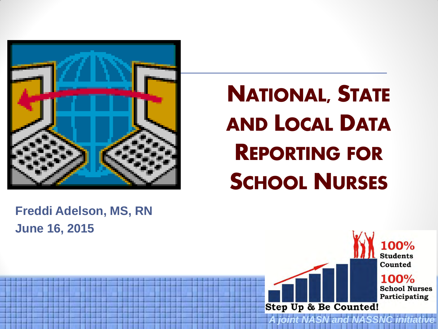

#### NATIONAL, STATE AND LOCAL DATA REPORTING FOR SCHOOL NURSES

#### **Freddi Adelson, MS, RN June 16, 2015**

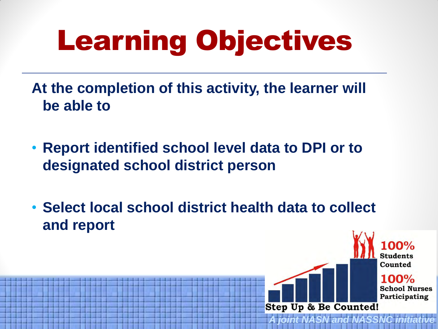# Learning Objectives

**At the completion of this activity, the learner will be able to** 

- **Report identified school level data to DPI or to designated school district person**
- **Select local school district health data to collect and report**



*A joint NASN and NASSNC initiative*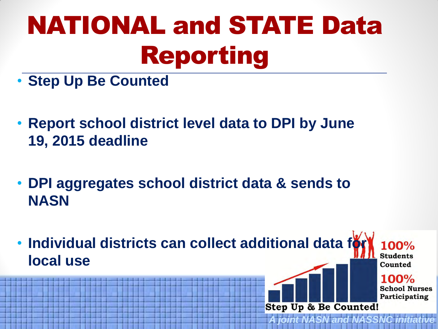## NATIONAL and STATE Data Reporting

- **Step Up Be Counted**
- **Report school district level data to DPI by June 19, 2015 deadline**
- **DPI aggregates school district data & sends to NASN**
- Individual districts can collect additional data for 100% **Students local use** Counted  $100%$

**School Nurses** Participating

*A joint NASN and NASSNC initiative* 

**Step Up & Be Counted!**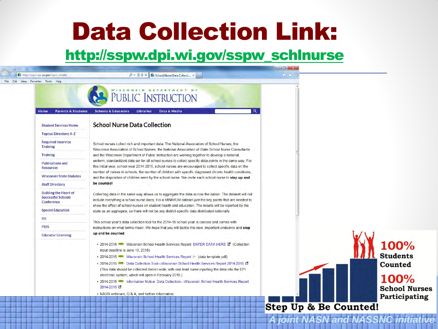#### Data Collection Link:

#### [http://sspw.dpi.wi.gov/sspw\\_schlnurse](http://sspw.dpi.wi.gov/sspw_schlnurse)

|                                                                         |                                                                                                                                                                                                                                                                                                                                                                                                                                                                                                                                                                                                                                           | $-101$                                                                                     |
|-------------------------------------------------------------------------|-------------------------------------------------------------------------------------------------------------------------------------------------------------------------------------------------------------------------------------------------------------------------------------------------------------------------------------------------------------------------------------------------------------------------------------------------------------------------------------------------------------------------------------------------------------------------------------------------------------------------------------------|--------------------------------------------------------------------------------------------|
| by http://sspw.dpi.wi.gov/sspw sndata                                   | D ← 図 d × 6 School Nurse Data Collecti ×                                                                                                                                                                                                                                                                                                                                                                                                                                                                                                                                                                                                  | 命女德                                                                                        |
| File Edit View Favorites Tools Help                                     | PUBLIC INSTRUCTION                                                                                                                                                                                                                                                                                                                                                                                                                                                                                                                                                                                                                        |                                                                                            |
| Home<br><b>Parents &amp; Students</b><br><b>Student Services Home</b>   | $\alpha$<br><b>Schools &amp; Educators</b><br><b>Libraries</b><br>Data & Media<br><b>School Nurse Data Collection</b>                                                                                                                                                                                                                                                                                                                                                                                                                                                                                                                     |                                                                                            |
| <b>Topical Directory A-Z</b>                                            |                                                                                                                                                                                                                                                                                                                                                                                                                                                                                                                                                                                                                                           |                                                                                            |
| <b>Required Inservice</b><br><b>Training</b>                            | School nurses collect rich and important data. The National Association of School Nurses, the<br>Wisconsin Association of School Nurses, the National Association of State School Nurse Consultants                                                                                                                                                                                                                                                                                                                                                                                                                                       |                                                                                            |
| <b>Training</b>                                                         | and the Wisconsin Department of Public Instruction are working together to develop a national,                                                                                                                                                                                                                                                                                                                                                                                                                                                                                                                                            |                                                                                            |
| <b>Publications and</b><br><b>Resources</b>                             | uniform, standardized data set for all school nurses to collect specific data points in the same way. For<br>this initial year, school year 2014-2015, school nurses are encouraged to collect specific data on the<br>number of nurses in schools, the number of children with specific diagnosed chronic health conditions,                                                                                                                                                                                                                                                                                                             |                                                                                            |
| <b>Wisconsin State Statutes</b>                                         | and the disposition of children seen by the school nurse. We invite each school nurse to step up and                                                                                                                                                                                                                                                                                                                                                                                                                                                                                                                                      |                                                                                            |
| <b>Staff Directory</b>                                                  | be counted!                                                                                                                                                                                                                                                                                                                                                                                                                                                                                                                                                                                                                               |                                                                                            |
| <b>Building the Heart of</b><br><b>Successful Schools</b><br>Conference | Collecting data in the same way allows us to aggregate the data across the nation. The dataset will not<br>include everything a school nurse does; it is a MINIMUM dataset-just the key points that are needed to<br>show the effect of school nurses on student health and education. The results will be reported by the                                                                                                                                                                                                                                                                                                                |                                                                                            |
| <b>Special Education</b>                                                | state as an aggregate, so there will not be any district-specific data distributed nationally.                                                                                                                                                                                                                                                                                                                                                                                                                                                                                                                                            |                                                                                            |
| Rtl                                                                     | This school year's data collection tool for the 2014-15 school year is concise and comes with                                                                                                                                                                                                                                                                                                                                                                                                                                                                                                                                             |                                                                                            |
| <b>PBIS</b>                                                             | instructions on what terms mean. We hope that you will tackle this new, important endeavor and step                                                                                                                                                                                                                                                                                                                                                                                                                                                                                                                                       |                                                                                            |
| <b>Educator Licensing</b>                                               | up and be counted.                                                                                                                                                                                                                                                                                                                                                                                                                                                                                                                                                                                                                        |                                                                                            |
|                                                                         | • 2014-2015 NEW Wisconsin School Health Services Report: ENTER DATA HERE LA (Collection<br>input deadline is June 19, 2015)<br>• 2014-2015 NEW Wisconsin School Health Services Report ≻ (data template pdf)<br>• 2014-2015 NEW Data Collection Tool-Wisconsin School Health Services Report 2014-2015 L'<br>(This data should be collected district-wide, with one lead nurse inputting the data into the DPI<br>electronic system, which will open in February 2015.)<br>. 2014-2015 NEW Information Notice: Data Collection-Wisconsin School Health Services Report<br>2014-2015 【<br>• NASN webinars, Q & A, and further information. | 100%<br><b>Students</b><br>Counted<br><b>100%</b><br><b>School Nurses</b><br>Participating |
|                                                                         |                                                                                                                                                                                                                                                                                                                                                                                                                                                                                                                                                                                                                                           | <b>Step Up &amp; Be Counted!</b>                                                           |
|                                                                         |                                                                                                                                                                                                                                                                                                                                                                                                                                                                                                                                                                                                                                           | <b>A joint NASN and NASSNC initia</b>                                                      |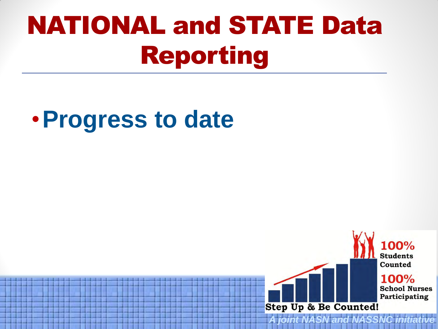## NATIONAL and STATE Data Reporting

#### •**Progress to date**

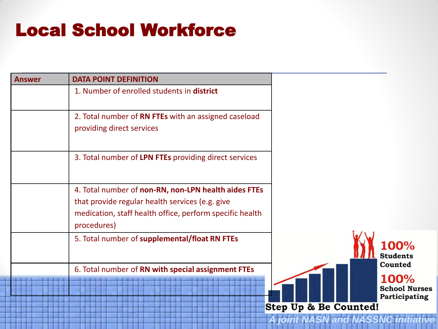#### Local School Workforce

| <b>Answer</b> | <b>DATA POINT DEFINITION</b>                                                                                                                                                       |                                                                                   |
|---------------|------------------------------------------------------------------------------------------------------------------------------------------------------------------------------------|-----------------------------------------------------------------------------------|
|               | 1. Number of enrolled students in district                                                                                                                                         |                                                                                   |
|               | 2. Total number of RN FTEs with an assigned caseload<br>providing direct services                                                                                                  |                                                                                   |
|               | 3. Total number of LPN FTEs providing direct services                                                                                                                              |                                                                                   |
|               | 4. Total number of non-RN, non-LPN health aides FTEs<br>that provide regular health services (e.g. give<br>medication, staff health office, perform specific health<br>procedures) |                                                                                   |
|               | 5. Total number of supplemental/float RN FTEs                                                                                                                                      | 100%<br><b>Students</b>                                                           |
|               | 6. Total number of RN with special assignment FTEs                                                                                                                                 | Counted<br>100%<br><b>School Nurses</b><br>Participating<br>Step Up & Be Counted! |
|               |                                                                                                                                                                                    | A joint NASN and NASSNC initiat                                                   |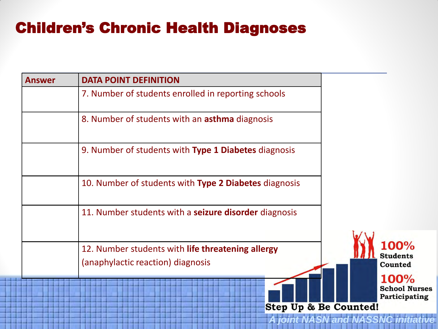#### Children's Chronic Health Diagnoses

| <b>Answer</b> | <b>DATA POINT DEFINITION</b>                                                           |                                               |
|---------------|----------------------------------------------------------------------------------------|-----------------------------------------------|
|               | 7. Number of students enrolled in reporting schools                                    |                                               |
|               | 8. Number of students with an <b>asthma</b> diagnosis                                  |                                               |
|               | 9. Number of students with Type 1 Diabetes diagnosis                                   |                                               |
|               | 10. Number of students with Type 2 Diabetes diagnosis                                  |                                               |
|               | 11. Number students with a <b>seizure disorder</b> diagnosis                           |                                               |
|               | 12. Number students with life threatening allergy<br>(anaphylactic reaction) diagnosis | 100%<br><b>Students</b><br>Counted            |
|               | <b>Step Up &amp; Be Counted!</b><br><b>A joint NASN and NASSNC initiati</b>            | 100%<br><b>School Nurses</b><br>Participating |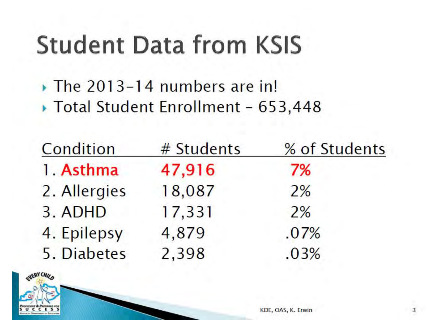#### **Student Data from KSIS**

 $\triangleright$  The 2013-14 numbers are in!

▶ Total Student Enrollment - 653,448

| Condition    | # Students | % of Students |
|--------------|------------|---------------|
| 1. Asthma    | 47,916     | 7%            |
| 2. Allergies | 18,087     | 2%            |
| 3. ADHD      | 17,331     | 2%            |
| 4. Epilepsy  | 4,879      | .07%          |
| 5. Diabetes  | 2,398      | .03%          |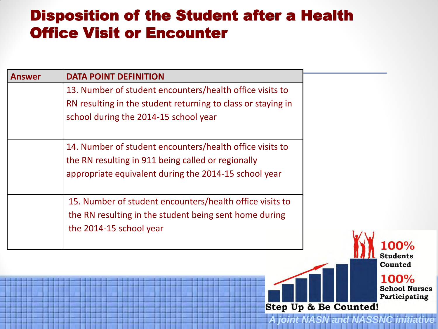#### Disposition of the Student after a Health Office Visit or Encounter

| <b>Answer</b>                                          | <b>DATA POINT DEFINITION</b>                                                                                                                      |                     |
|--------------------------------------------------------|---------------------------------------------------------------------------------------------------------------------------------------------------|---------------------|
|                                                        | 13. Number of student encounters/health office visits to                                                                                          |                     |
|                                                        | RN resulting in the student returning to class or staying in                                                                                      |                     |
|                                                        | school during the 2014-15 school year                                                                                                             |                     |
|                                                        |                                                                                                                                                   |                     |
|                                                        | 14. Number of student encounters/health office visits to                                                                                          |                     |
|                                                        | the RN resulting in 911 being called or regionally                                                                                                |                     |
|                                                        | appropriate equivalent during the 2014-15 school year                                                                                             |                     |
|                                                        | 15. Number of student encounters/health office visits to                                                                                          |                     |
|                                                        | the RN resulting in the student being sent home during                                                                                            |                     |
|                                                        | the 2014-15 school year                                                                                                                           |                     |
|                                                        |                                                                                                                                                   |                     |
|                                                        |                                                                                                                                                   | Students<br>Counted |
| <b>The Committee of the Committee of the Committee</b> | , and the third the ten theorem and the ten the ten tensor of the ten the tensor of the<br><b>The Committee of the Committee of the Committee</b> | 1 በበዐረ              |

J70 **School Nurses** Participating

**A joint NASN and NASSNC** 

**Step Up & Be Counted!**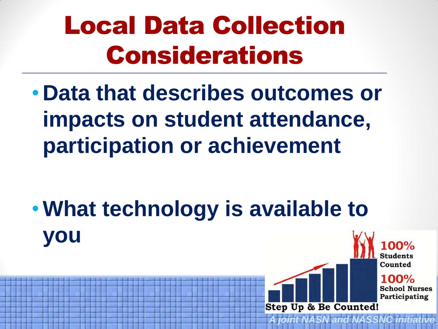## Local Data Collection Considerations

• **Data that describes outcomes or impacts on student attendance, participation or achievement** 

•**What technology is available to you** 



*A joint NASN and NASSNC initiative*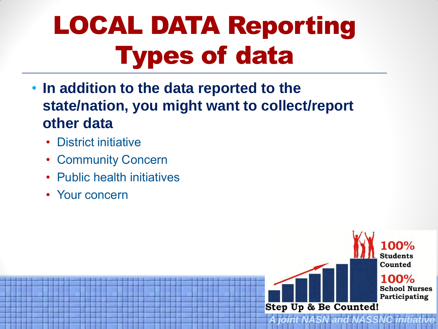## LOCAL DATA Reporting Types of data

• **In addition to the data reported to the state/nation, you might want to collect/report other data** 

*A joint NASN and NASS* 

Step Up & Be Counted!

**Students** Counted

 $100%$ 

**School Nurses** Participating

- District initiative
- **Community Concern**
- Public health initiatives
- Your concern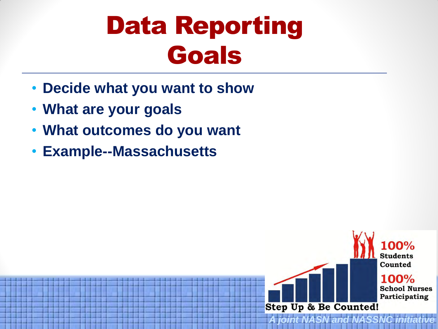#### Data Reporting Goals

and NAS

**Step Up & Be Counted!** 

**Students** Counted

100%

**School Nurses** Participating

- **Decide what you want to show**
- **What are your goals**
- **What outcomes do you want**
- **Example--Massachusetts**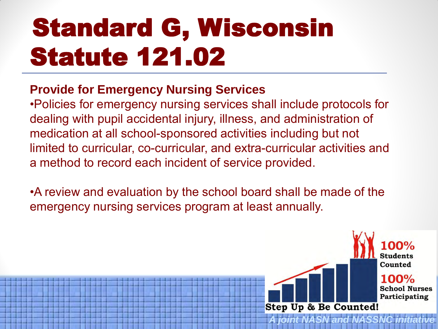## Standard G, Wisconsin Statute 121.02

#### **Provide for Emergency Nursing Services**

•Policies for emergency nursing services shall include protocols for dealing with pupil accidental injury, illness, and administration of medication at all school-sponsored activities including but not limited to curricular, co-curricular, and extra-curricular activities and a method to record each incident of service provided.

•A review and evaluation by the school board shall be made of the emergency nursing services program at least annually.

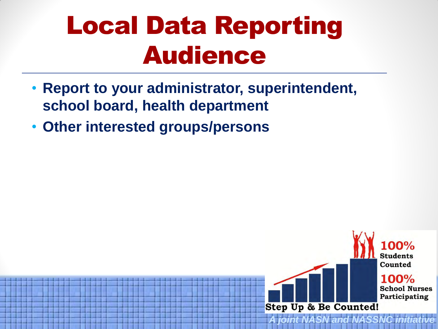### Local Data Reporting Audience

- **Report to your administrator, superintendent, school board, health department**
- **Other interested groups/persons**